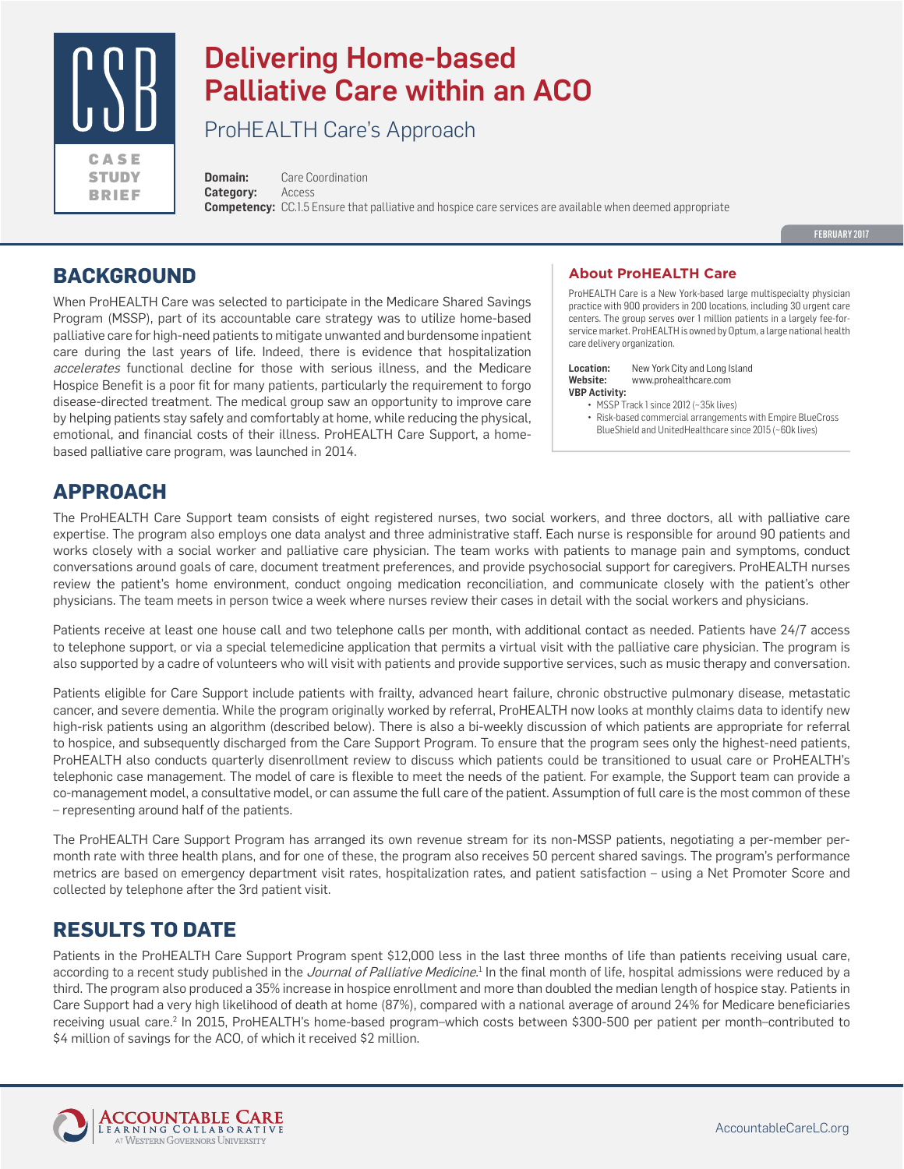

# Delivering Home-based Palliative Care within an ACO

ProHEALTH Care's Approach

**Domain:** Care Coordination **Category:** Access **Competency:** CC.1.5 Ensure that palliative and hospice care services are available when deemed appropriate

FEBRUARY 2017

### **BACKGROUND**

When ProHEALTH Care was selected to participate in the Medicare Shared Savings Program (MSSP), part of its accountable care strategy was to utilize home-based palliative care for high-need patients to mitigate unwanted and burdensome inpatient care during the last years of life. Indeed, there is evidence that hospitalization accelerates functional decline for those with serious illness, and the Medicare Hospice Benefit is a poor fit for many patients, particularly the requirement to forgo disease-directed treatment. The medical group saw an opportunity to improve care by helping patients stay safely and comfortably at home, while reducing the physical, emotional, and financial costs of their illness. ProHEALTH Care Support, a homebased palliative care program, was launched in 2014.

#### **About ProHEALTH Care**

ProHEALTH Care is a New York-based large multispecialty physician practice with 900 providers in 200 locations, including 30 urgent care centers. The group serves over 1 million patients in a largely fee-forservice market. ProHEALTH is owned by Optum, a large national health care delivery organization.

**Location:** New York City and Long Island **Website:** www.prohealthcare.com **VBP Activity:**

- MSSP Track 1 since 2012 (~35k lives)
- Risk-based commercial arrangements with Empire BlueCross BlueShield and UnitedHealthcare since 2015 (~60k lives)

# **APPROACH**

The ProHEALTH Care Support team consists of eight registered nurses, two social workers, and three doctors, all with palliative care expertise. The program also employs one data analyst and three administrative staff. Each nurse is responsible for around 90 patients and works closely with a social worker and palliative care physician. The team works with patients to manage pain and symptoms, conduct conversations around goals of care, document treatment preferences, and provide psychosocial support for caregivers. ProHEALTH nurses review the patient's home environment, conduct ongoing medication reconciliation, and communicate closely with the patient's other physicians. The team meets in person twice a week where nurses review their cases in detail with the social workers and physicians.

Patients receive at least one house call and two telephone calls per month, with additional contact as needed. Patients have 24/7 access to telephone support, or via a special telemedicine application that permits a virtual visit with the palliative care physician. The program is also supported by a cadre of volunteers who will visit with patients and provide supportive services, such as music therapy and conversation.

Patients eligible for Care Support include patients with frailty, advanced heart failure, chronic obstructive pulmonary disease, metastatic cancer, and severe dementia. While the program originally worked by referral, ProHEALTH now looks at monthly claims data to identify new high-risk patients using an algorithm (described below). There is also a bi-weekly discussion of which patients are appropriate for referral to hospice, and subsequently discharged from the Care Support Program. To ensure that the program sees only the highest-need patients, ProHEALTH also conducts quarterly disenrollment review to discuss which patients could be transitioned to usual care or ProHEALTH's telephonic case management. The model of care is flexible to meet the needs of the patient. For example, the Support team can provide a co-management model, a consultative model, or can assume the full care of the patient. Assumption of full care is the most common of these – representing around half of the patients.

The ProHEALTH Care Support Program has arranged its own revenue stream for its non-MSSP patients, negotiating a per-member permonth rate with three health plans, and for one of these, the program also receives 50 percent shared savings. The program's performance metrics are based on emergency department visit rates, hospitalization rates, and patient satisfaction – using a Net Promoter Score and collected by telephone after the 3rd patient visit.

### **RESULTS TO DATE**

Patients in the ProHEALTH Care Support Program spent \$12,000 less in the last three months of life than patients receiving usual care, according to a recent study published in the *Journal of Palliative Medicine*.<sup>1</sup> In the final month of life, hospital admissions were reduced by a third. The program also produced a 35% increase in hospice enrollment and more than doubled the median length of hospice stay. Patients in Care Support had a very high likelihood of death at home (87%), compared with a national average of around 24% for Medicare beneficiaries receiving usual care.2 In 2015, ProHEALTH's home-based program–which costs between \$300-500 per patient per month–contributed to \$4 million of savings for the ACO, of which it received \$2 million.